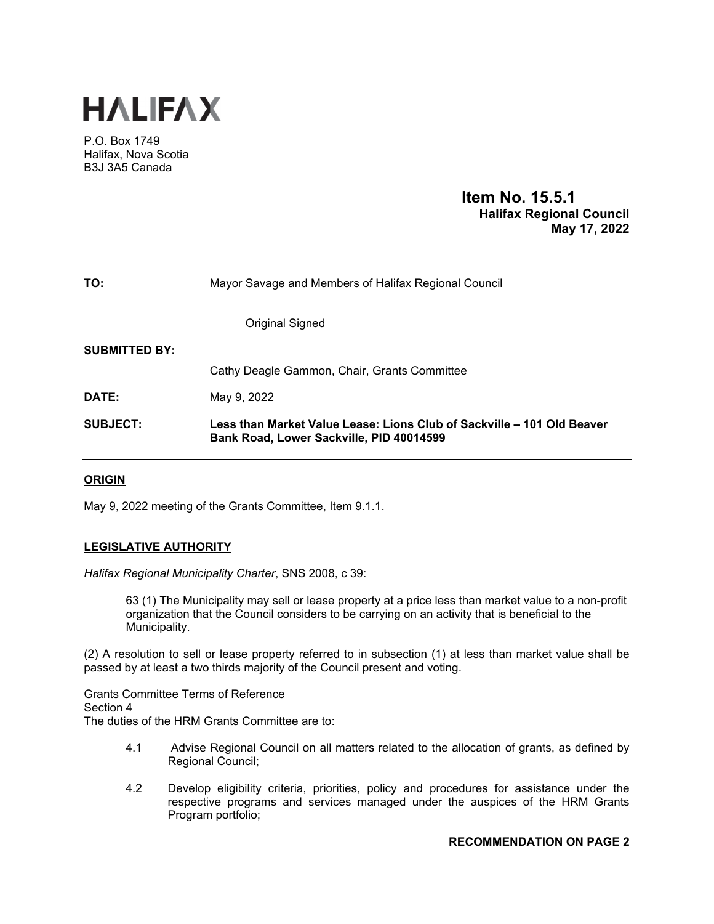

P.O. Box 1749 Halifax, Nova Scotia B3J 3A5 Canada

# **Item No. 15.5.1 Halifax Regional Council May 17, 2022**

| TO:                  | Mayor Savage and Members of Halifax Regional Council                                                               |
|----------------------|--------------------------------------------------------------------------------------------------------------------|
|                      | Original Signed                                                                                                    |
| <b>SUBMITTED BY:</b> |                                                                                                                    |
|                      | Cathy Deagle Gammon, Chair, Grants Committee                                                                       |
| DATE:                | May 9, 2022                                                                                                        |
| <b>SUBJECT:</b>      | Less than Market Value Lease: Lions Club of Sackville – 101 Old Beaver<br>Bank Road, Lower Sackville, PID 40014599 |

# **ORIGIN**

May 9, 2022 meeting of the Grants Committee, Item 9.1.1.

# **LEGISLATIVE AUTHORITY**

*Halifax Regional Municipality Charter*, SNS 2008, c 39:

63 (1) The Municipality may sell or lease property at a price less than market value to a non-profit organization that the Council considers to be carrying on an activity that is beneficial to the Municipality.

(2) A resolution to sell or lease property referred to in subsection (1) at less than market value shall be passed by at least a two thirds majority of the Council present and voting.

Grants Committee Terms of Reference Section 4 The duties of the HRM Grants Committee are to:

- 4.1 Advise Regional Council on all matters related to the allocation of grants, as defined by Regional Council;
- 4.2 Develop eligibility criteria, priorities, policy and procedures for assistance under the respective programs and services managed under the auspices of the HRM Grants Program portfolio;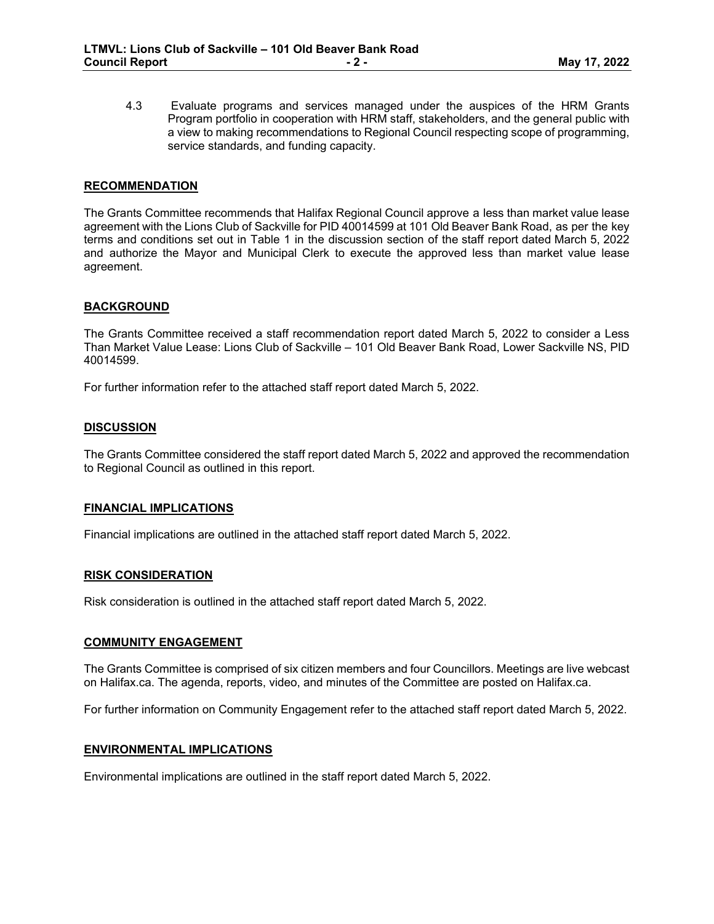4.3 Evaluate programs and services managed under the auspices of the HRM Grants Program portfolio in cooperation with HRM staff, stakeholders, and the general public with a view to making recommendations to Regional Council respecting scope of programming, service standards, and funding capacity.

# **RECOMMENDATION**

The Grants Committee recommends that Halifax Regional Council approve a less than market value lease agreement with the Lions Club of Sackville for PID 40014599 at 101 Old Beaver Bank Road, as per the key terms and conditions set out in Table 1 in the discussion section of the staff report dated March 5, 2022 and authorize the Mayor and Municipal Clerk to execute the approved less than market value lease agreement.

### **BACKGROUND**

The Grants Committee received a staff recommendation report dated March 5, 2022 to consider a Less Than Market Value Lease: Lions Club of Sackville – 101 Old Beaver Bank Road, Lower Sackville NS, PID 40014599.

For further information refer to the attached staff report dated March 5, 2022.

# **DISCUSSION**

The Grants Committee considered the staff report dated March 5, 2022 and approved the recommendation to Regional Council as outlined in this report.

### **FINANCIAL IMPLICATIONS**

Financial implications are outlined in the attached staff report dated March 5, 2022.

### **RISK CONSIDERATION**

Risk consideration is outlined in the attached staff report dated March 5, 2022.

### **COMMUNITY ENGAGEMENT**

The Grants Committee is comprised of six citizen members and four Councillors. Meetings are live webcast on Halifax.ca. The agenda, reports, video, and minutes of the Committee are posted on Halifax.ca.

For further information on Community Engagement refer to the attached staff report dated March 5, 2022.

### **ENVIRONMENTAL IMPLICATIONS**

Environmental implications are outlined in the staff report dated March 5, 2022.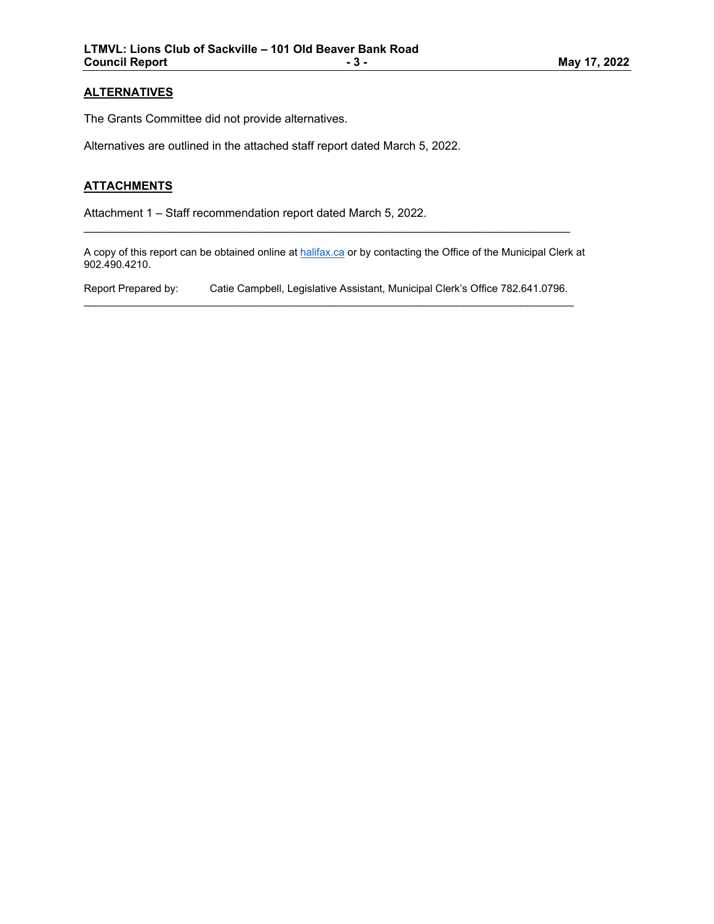# **ALTERNATIVES**

The Grants Committee did not provide alternatives.

Alternatives are outlined in the attached staff report dated March 5, 2022.

# **ATTACHMENTS**

Attachment 1 – Staff recommendation report dated March 5, 2022.

A copy of this report can be obtained online at <u>halifax.ca</u> or by contacting the Office of the Municipal Clerk at 902.490.4210.

 $\mathcal{L}_\text{max}$  and  $\mathcal{L}_\text{max}$  and  $\mathcal{L}_\text{max}$  and  $\mathcal{L}_\text{max}$  and  $\mathcal{L}_\text{max}$  and  $\mathcal{L}_\text{max}$ 

Report Prepared by: Catie Campbell, Legislative Assistant, Municipal Clerk's Office 782.641.0796.  $\mathcal{L}_\mathcal{L} = \{ \mathcal{L}_\mathcal{L} = \{ \mathcal{L}_\mathcal{L} = \{ \mathcal{L}_\mathcal{L} = \{ \mathcal{L}_\mathcal{L} = \{ \mathcal{L}_\mathcal{L} = \{ \mathcal{L}_\mathcal{L} = \{ \mathcal{L}_\mathcal{L} = \{ \mathcal{L}_\mathcal{L} = \{ \mathcal{L}_\mathcal{L} = \{ \mathcal{L}_\mathcal{L} = \{ \mathcal{L}_\mathcal{L} = \{ \mathcal{L}_\mathcal{L} = \{ \mathcal{L}_\mathcal{L} = \{ \mathcal{L}_\mathcal{$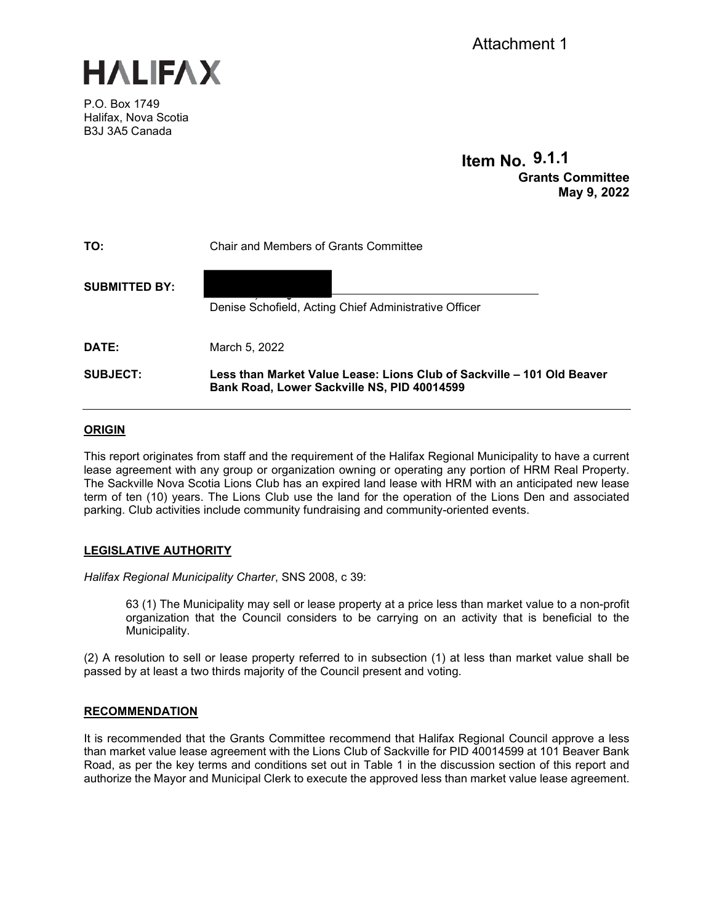

P.O. Box 1749 Halifax, Nova Scotia B3J 3A5 Canada

# **Item No. 9.1.1 Grants Committee May 9, 2022**

| TO:                  | Chair and Members of Grants Committee                                                                                 |
|----------------------|-----------------------------------------------------------------------------------------------------------------------|
| <b>SUBMITTED BY:</b> | Denise Schofield, Acting Chief Administrative Officer                                                                 |
| DATE:                | March 5, 2022                                                                                                         |
| <b>SUBJECT:</b>      | Less than Market Value Lease: Lions Club of Sackville – 101 Old Beaver<br>Bank Road, Lower Sackville NS, PID 40014599 |

# **ORIGIN**

This report originates from staff and the requirement of the Halifax Regional Municipality to have a current lease agreement with any group or organization owning or operating any portion of HRM Real Property. The Sackville Nova Scotia Lions Club has an expired land lease with HRM with an anticipated new lease term of ten (10) years. The Lions Club use the land for the operation of the Lions Den and associated parking. Club activities include community fundraising and community-oriented events.

# **LEGISLATIVE AUTHORITY**

*Halifax Regional Municipality Charter*, SNS 2008, c 39:

63 (1) The Municipality may sell or lease property at a price less than market value to a non-profit organization that the Council considers to be carrying on an activity that is beneficial to the Municipality.

(2) A resolution to sell or lease property referred to in subsection (1) at less than market value shall be passed by at least a two thirds majority of the Council present and voting.

# **RECOMMENDATION**

It is recommended that the Grants Committee recommend that Halifax Regional Council approve a less than market value lease agreement with the Lions Club of Sackville for PID 40014599 at 101 Beaver Bank Road, as per the key terms and conditions set out in Table 1 in the discussion section of this report and authorize the Mayor and Municipal Clerk to execute the approved less than market value lease agreement.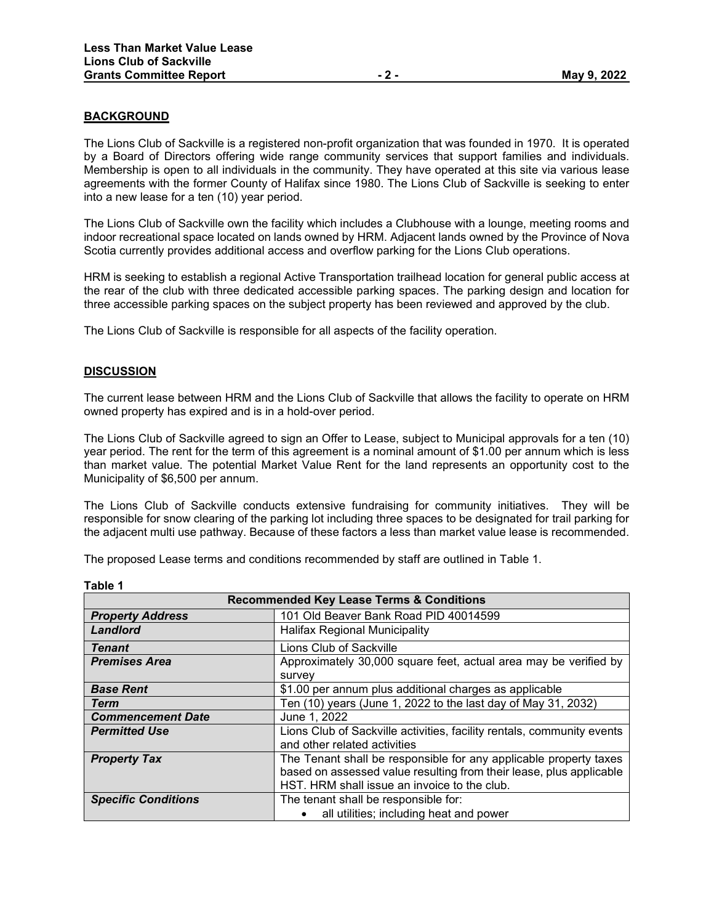### **BACKGROUND**

The Lions Club of Sackville is a registered non-profit organization that was founded in 1970. It is operated by a Board of Directors offering wide range community services that support families and individuals. Membership is open to all individuals in the community. They have operated at this site via various lease agreements with the former County of Halifax since 1980. The Lions Club of Sackville is seeking to enter into a new lease for a ten (10) year period.

The Lions Club of Sackville own the facility which includes a Clubhouse with a lounge, meeting rooms and indoor recreational space located on lands owned by HRM. Adjacent lands owned by the Province of Nova Scotia currently provides additional access and overflow parking for the Lions Club operations.

HRM is seeking to establish a regional Active Transportation trailhead location for general public access at the rear of the club with three dedicated accessible parking spaces. The parking design and location for three accessible parking spaces on the subject property has been reviewed and approved by the club.

The Lions Club of Sackville is responsible for all aspects of the facility operation.

### **DISCUSSION**

The current lease between HRM and the Lions Club of Sackville that allows the facility to operate on HRM owned property has expired and is in a hold-over period.

The Lions Club of Sackville agreed to sign an Offer to Lease, subject to Municipal approvals for a ten (10) year period. The rent for the term of this agreement is a nominal amount of \$1.00 per annum which is less than market value. The potential Market Value Rent for the land represents an opportunity cost to the Municipality of \$6,500 per annum.

The Lions Club of Sackville conducts extensive fundraising for community initiatives. They will be responsible for snow clearing of the parking lot including three spaces to be designated for trail parking for the adjacent multi use pathway. Because of these factors a less than market value lease is recommended.

The proposed Lease terms and conditions recommended by staff are outlined in Table 1.

| <b>Recommended Key Lease Terms &amp; Conditions</b> |                                                                        |  |
|-----------------------------------------------------|------------------------------------------------------------------------|--|
| <b>Property Address</b>                             | 101 Old Beaver Bank Road PID 40014599                                  |  |
| Landlord                                            | Halifax Regional Municipality                                          |  |
| <b>Tenant</b>                                       | Lions Club of Sackville                                                |  |
| <b>Premises Area</b>                                | Approximately 30,000 square feet, actual area may be verified by       |  |
|                                                     | survey                                                                 |  |
| <b>Base Rent</b>                                    | \$1.00 per annum plus additional charges as applicable                 |  |
| Term                                                | Ten (10) years (June 1, 2022 to the last day of May 31, 2032)          |  |
| <b>Commencement Date</b>                            | June 1, 2022                                                           |  |
| <b>Permitted Use</b>                                | Lions Club of Sackville activities, facility rentals, community events |  |
|                                                     | and other related activities                                           |  |
| <b>Property Tax</b>                                 | The Tenant shall be responsible for any applicable property taxes      |  |
|                                                     | based on assessed value resulting from their lease, plus applicable    |  |
|                                                     | HST. HRM shall issue an invoice to the club.                           |  |
| <b>Specific Conditions</b>                          | The tenant shall be responsible for:                                   |  |
|                                                     | all utilities; including heat and power                                |  |

**Table 1**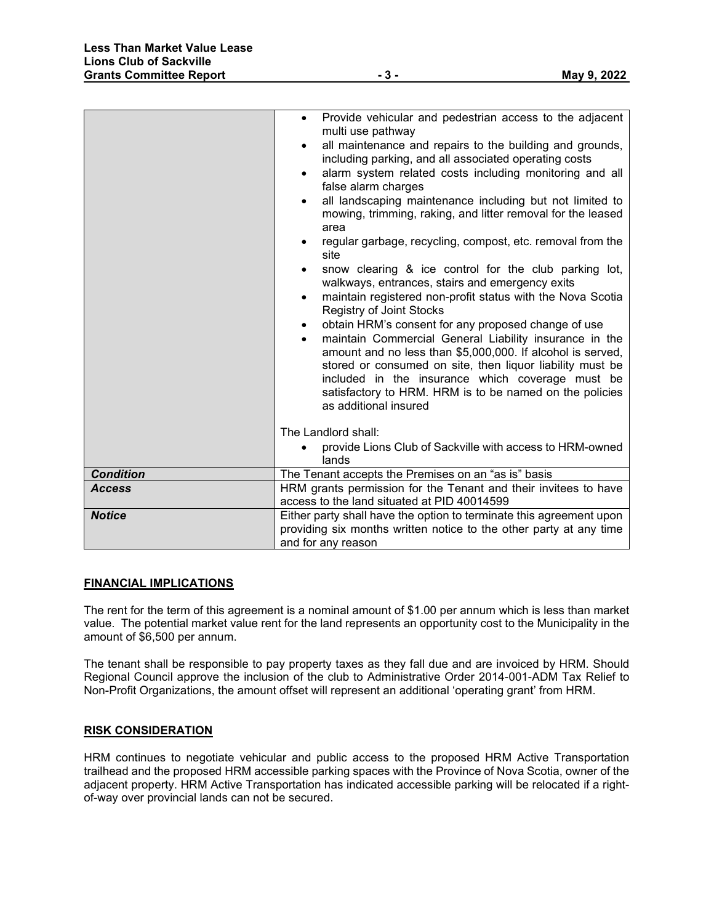|                  | Provide vehicular and pedestrian access to the adjacent<br>$\bullet$<br>multi use pathway<br>all maintenance and repairs to the building and grounds,<br>$\bullet$<br>including parking, and all associated operating costs<br>alarm system related costs including monitoring and all<br>$\bullet$<br>false alarm charges<br>all landscaping maintenance including but not limited to<br>$\bullet$<br>mowing, trimming, raking, and litter removal for the leased<br>area<br>regular garbage, recycling, compost, etc. removal from the<br>site<br>snow clearing & ice control for the club parking lot,<br>$\bullet$<br>walkways, entrances, stairs and emergency exits<br>maintain registered non-profit status with the Nova Scotia<br>$\bullet$<br><b>Registry of Joint Stocks</b><br>obtain HRM's consent for any proposed change of use<br>$\bullet$<br>maintain Commercial General Liability insurance in the<br>$\bullet$<br>amount and no less than \$5,000,000. If alcohol is served,<br>stored or consumed on site, then liquor liability must be<br>included in the insurance which coverage must be<br>satisfactory to HRM. HRM is to be named on the policies<br>as additional insured |
|------------------|-------------------------------------------------------------------------------------------------------------------------------------------------------------------------------------------------------------------------------------------------------------------------------------------------------------------------------------------------------------------------------------------------------------------------------------------------------------------------------------------------------------------------------------------------------------------------------------------------------------------------------------------------------------------------------------------------------------------------------------------------------------------------------------------------------------------------------------------------------------------------------------------------------------------------------------------------------------------------------------------------------------------------------------------------------------------------------------------------------------------------------------------------------------------------------------------------------|
|                  | The Landlord shall:<br>provide Lions Club of Sackville with access to HRM-owned<br>$\bullet$                                                                                                                                                                                                                                                                                                                                                                                                                                                                                                                                                                                                                                                                                                                                                                                                                                                                                                                                                                                                                                                                                                          |
|                  | lands                                                                                                                                                                                                                                                                                                                                                                                                                                                                                                                                                                                                                                                                                                                                                                                                                                                                                                                                                                                                                                                                                                                                                                                                 |
| <b>Condition</b> | The Tenant accepts the Premises on an "as is" basis                                                                                                                                                                                                                                                                                                                                                                                                                                                                                                                                                                                                                                                                                                                                                                                                                                                                                                                                                                                                                                                                                                                                                   |
| <b>Access</b>    | HRM grants permission for the Tenant and their invitees to have<br>access to the land situated at PID 40014599                                                                                                                                                                                                                                                                                                                                                                                                                                                                                                                                                                                                                                                                                                                                                                                                                                                                                                                                                                                                                                                                                        |
| <b>Notice</b>    | Either party shall have the option to terminate this agreement upon<br>providing six months written notice to the other party at any time<br>and for any reason                                                                                                                                                                                                                                                                                                                                                                                                                                                                                                                                                                                                                                                                                                                                                                                                                                                                                                                                                                                                                                       |

### **FINANCIAL IMPLICATIONS**

The rent for the term of this agreement is a nominal amount of \$1.00 per annum which is less than market value. The potential market value rent for the land represents an opportunity cost to the Municipality in the amount of \$6,500 per annum.

The tenant shall be responsible to pay property taxes as they fall due and are invoiced by HRM. Should Regional Council approve the inclusion of the club to Administrative Order 2014-001-ADM Tax Relief to Non-Profit Organizations, the amount offset will represent an additional 'operating grant' from HRM.

# **RISK CONSIDERATION**

HRM continues to negotiate vehicular and public access to the proposed HRM Active Transportation trailhead and the proposed HRM accessible parking spaces with the Province of Nova Scotia, owner of the adjacent property. HRM Active Transportation has indicated accessible parking will be relocated if a rightof-way over provincial lands can not be secured.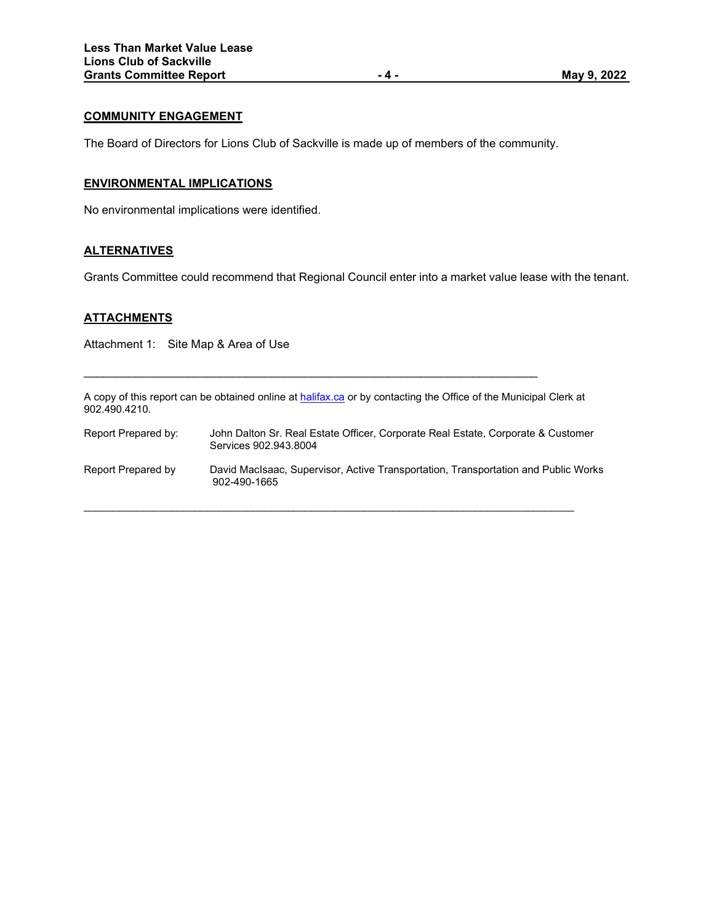### **COMMUNITY ENGAGEMENT**

The Board of Directors for Lions Club of Sackville is made up of members of the community.

### **ENVIRONMENTAL IMPLICATIONS**

No environmental implications were identified.

# **ALTERNATIVES**

Grants Committee could recommend that Regional Council enter into a market value lease with the tenant.

# **ATTACHMENTS**

Attachment 1: Site Map & Area of Use

A copy of this report can be obtained online a[t halifax.ca](http://www.halifax.ca/) or by contacting the Office of the Municipal Clerk at 902.490.4210.

\_\_\_\_\_\_\_\_\_\_\_\_\_\_\_\_\_\_\_\_\_\_\_\_\_\_\_\_\_\_\_\_\_\_\_\_\_\_\_\_\_\_\_\_\_\_\_\_\_\_\_\_\_\_\_\_\_\_\_\_\_\_\_\_\_\_\_\_\_\_

| Report Prepared by: | John Dalton Sr. Real Estate Officer. Corporate Real Estate. Corporate & Customer<br>Services 902.943.8004 |
|---------------------|-----------------------------------------------------------------------------------------------------------|
| Report Prepared by  | David MacIsaac, Supervisor, Active Transportation, Transportation and Public Works<br>902-490-1665        |

 $\_$  ,  $\_$  ,  $\_$  ,  $\_$  ,  $\_$  ,  $\_$  ,  $\_$  ,  $\_$  ,  $\_$  ,  $\_$  ,  $\_$  ,  $\_$  ,  $\_$  ,  $\_$  ,  $\_$  ,  $\_$  ,  $\_$  ,  $\_$  ,  $\_$  ,  $\_$  ,  $\_$  ,  $\_$  ,  $\_$  ,  $\_$  ,  $\_$  ,  $\_$  ,  $\_$  ,  $\_$  ,  $\_$  ,  $\_$  ,  $\_$  ,  $\_$  ,  $\_$  ,  $\_$  ,  $\_$  ,  $\_$  ,  $\_$  ,